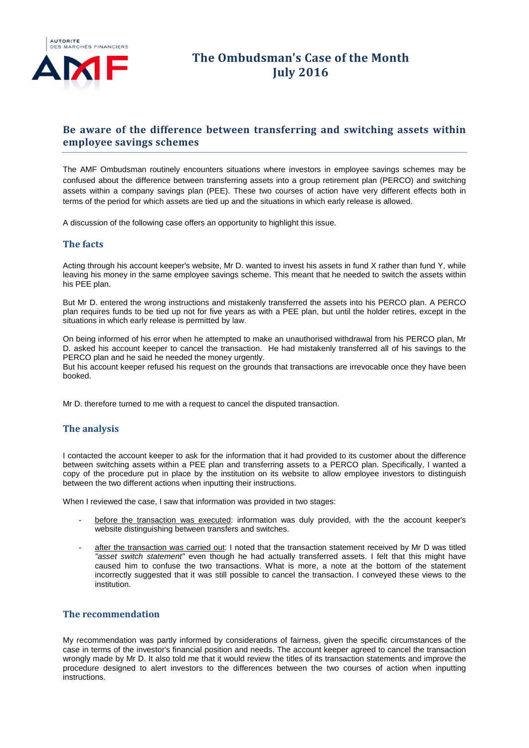

# **The Ombudsman's Case of the Month July 2016**

## **Be aware of the difference between transferring and switching assets within employee savings schemes**

The AMF Ombudsman routinely encounters situations where investors in employee savings schemes may be confused about the difference between transferring assets into a group retirement plan (PERCO) and switching assets within a company savings plan (PEE). These two courses of action have very different effects both in terms of the period for which assets are tied up and the situations in which early release is allowed.

A discussion of the following case offers an opportunity to highlight this issue.

#### **The facts**

Acting through his account keeper's website, Mr D. wanted to invest his assets in fund X rather than fund Y, while leaving his money in the same employee savings scheme. This meant that he needed to switch the assets within his PEE plan.

But Mr D. entered the wrong instructions and mistakenly transferred the assets into his PERCO plan. A PERCO plan requires funds to be tied up not for five years as with a PEE plan, but until the holder retires, except in the situations in which early release is permitted by law.

On being informed of his error when he attempted to make an unauthorised withdrawal from his PERCO plan, Mr D. asked his account keeper to cancel the transaction. He had mistakenly transferred all of his savings to the PERCO plan and he said he needed the money urgently.

But his account keeper refused his request on the grounds that transactions are irrevocable once they have been booked.

Mr D. therefore turned to me with a request to cancel the disputed transaction.

#### **The analysis**

I contacted the account keeper to ask for the information that it had provided to its customer about the difference between switching assets within a PEE plan and transferring assets to a PERCO plan. Specifically, I wanted a copy of the procedure put in place by the institution on its website to allow employee investors to distinguish between the two different actions when inputting their instructions.

When I reviewed the case, I saw that information was provided in two stages:

- before the transaction was executed: information was duly provided, with the the account keeper's website distinguishing between transfers and switches.
- after the transaction was carried out: I noted that the transaction statement received by Mr D was titled *"asset switch statement"* even though he had actually transferred assets. I felt that this might have caused him to confuse the two transactions. What is more, a note at the bottom of the statement incorrectly suggested that it was still possible to cancel the transaction. I conveyed these views to the institution.

#### **The recommendation**

My recommendation was partly informed by considerations of fairness, given the specific circumstances of the case in terms of the investor's financial position and needs. The account keeper agreed to cancel the transaction wrongly made by Mr D. It also told me that it would review the titles of its transaction statements and improve the procedure designed to alert investors to the differences between the two courses of action when inputting instructions.